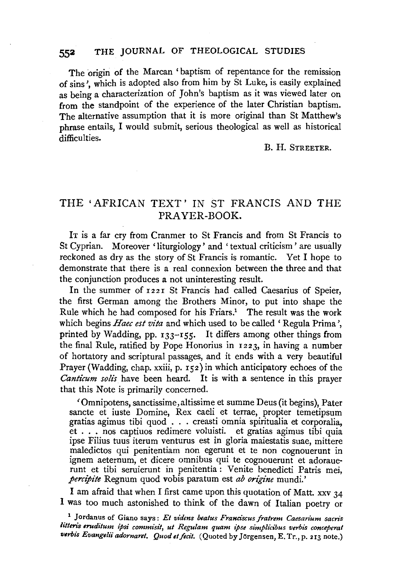# **552** THE JOURNAL OF THEOLOGICAL STUDIES

The origin of the Marcan 'baptism of repentance for the remission of sins', which is adopted also from him by St Luke, is easily explained as being a characterization of John's baptism as it was viewed later on from the standpoint of the experience of the later Christian baptism. The alternative assumption that it is more original than St Matthew's phrase entails, I would submit, serious theological as well as historical difficulties.

### B. H. STREETER.

# THE 'AFRICAN TEXT ' IN ST FRANCIS AND THE PRAYER-BOOK.

IT is a far cry from Cranmer to St Francis and from St Francis to St Cyprian. Moreover 'liturgiology ' and ' textual criticism ' are usually reckoned as dry as the story of St Francis is romantic. Yet I hope to demonstrate that there is a real connexion between the three and that the conjunction produces a not uninteresting result.

In the summer of 1221 St Francis had called Caesarius of Speier, the first German among the Brothers Minor, to put into shape the Rule which he had composed for his Friars.<sup>1</sup> The result was the work which begins *Haec est vita* and which used to be called 'Regula Prima', printed by Wadding, pp.  $133-155$ . It differs among other things from the final Rule, ratified by Pope Honorius in 1223, in having a number of hortatory and scriptural passages, and it ends with a very beautiful Prayer (Wadding, chap. xxiii, p. 152) in which anticipatory echoes of the *Canticum solis* have been heard. It is with a sentence in this prayer that this Note is primarily concerned.

'Omnipotens, sanctissime, altissime et sum me Deus (it begins), Pater sancte et iuste Domine, Rex caeli et terrae, propter temetipsum gratias agimus tibi quod . . . creasti omnia spiritualia et corporalia, et . . . nos captiuos redimere voluisti. et gratias agimus tibi quia ipse Filius tuus iterum venturus est in gloria maiestatis suae, mittere maledictos qui penitentiam non egerunt et te non cognouerunt in ignem aeternum, et dicere omnibus qui te cognouerunt et adorauerunt et tibi seruierunt in penitentia : Venite benedicti Patris mei, *percipite* Regnum quod vobis paratum est *ab origine* mundi.'

I am afraid that when I first came upon this quotation of Matt. xxv 34 I was too much astonished to think of the dawn of Italian poetry or

<sup>&</sup>lt;sup>1</sup> Jordanus of Giano says: *Et videns beatus Franciscus fratrem Caesarium sacris litteris eruditum ipsi commisit, ut Regulam quam ipse simplicibus verbis conceperat*  verbis Evangelii adornaret. Quod et fecit. (Quoted by Jörgensen, E. Tr., p. 213 note.)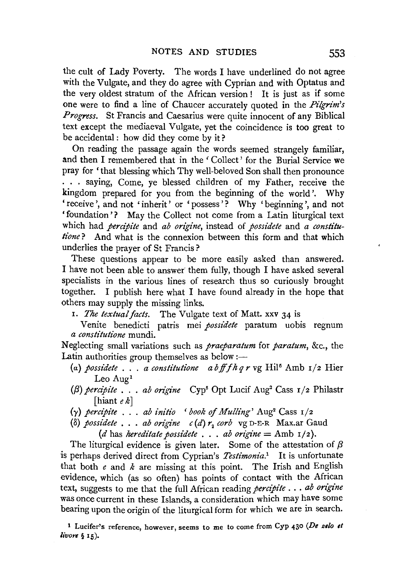the cult of Lady Poverty. The words I have underlined do not agree with the Vulgate, and they do agree with Cyprian and with Optatus and the very oldest stratum of the African version! It is just as if some one were to find a line of Chaucer accurately quoted in the Pilgrim's Progress. St Francis and Caesarius were quite innocent of any Biblical text except the mediaeval Vulgate, yet the coincidence is too great to be accidental: how did they come by it?

On reading the passage again the words seemed strangely familiar, and then I remembered that in the 'Collect' for the Burial Service we pray for 'that blessing which Thy well-beloved Son shall then pronounce ... saying, Come, ye blessed children of my Father, receive the kingdom prepared for you from the beginning of the world'. Why 'receive', and not 'inherit' or 'possess'? Why 'beginning', and not 'foundation'? May the Collect not come from a Latin liturgical text which had *percipite* and *ab origine*, instead of *possidete* and *a constitu*tione? And what is the connexion between this form and that which underlies the prayer of St Francis?

These questions appear to be more easily asked than answered. I have not been able to answer them fully, though I have asked several specialists in the various lines of research thus so curiously brought together. I publish here what I have found already in the hope that others may supply the missing links.

- 1. The textual facts. The Vulgate text of Matt. xxv 34 is
- Venite benedicti patris mei possidete paratum uobis regnum a constitutione mundi.

Neglecting small variations such as *praeparatum* for *paratum*, &c., the Latin authorities group themselves as below :-

- (a) possidete . . . a constitutione abff f  $h q r$  vg Hil<sup>5</sup> Amb  $I/2$  Hier Leo Aug<sup>1</sup>
- ( $\beta$ ) percipite . . . ab origine Cyp<sup>6</sup> Opt Lucif Aug<sup>2</sup> Cass  $r/z$  Philastr [hiant  $e k$ ]
- $(\gamma)$  percipite ... ab initio 'book of Mulling' Aug<sup>2</sup> Cass  $1/2$
- (δ) possidete . . . ab origine  $c(d)$ r, corb vg D-E-R Max.ar Gaud
	- (d has hereditate possidete . . . ab origine = Amb  $1/2$ ).

The liturgical evidence is given later. Some of the attestation of  $\beta$ is perhaps derived direct from Cyprian's Testimonia.<sup>1</sup> It is unfortunate that both  $e$  and  $k$  are missing at this point. The Irish and English evidence, which (as so often) has points of contact with the African text, suggests to me that the full African reading percipite . . . ab origine was once current in these Islands, a consideration which may have some bearing upon the origin of the liturgical form for which we are in search.

<sup>1</sup> Lucifer's reference, however, seems to me to come from Cyp 430 (De zelo et livore  $\S$  15).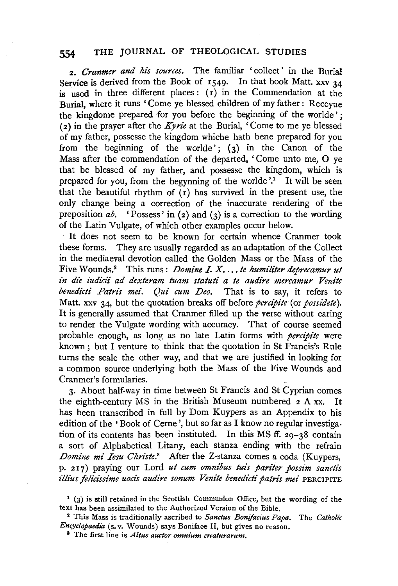## **554 THE** JOURNAL OF THEOLOGICAL STUDIES

<sup>2</sup> • *Cranmer and his sources.* The familiar 'collect' in the Burial Service is derived from the Book of  $1549$ . In that book Matt. xxv  $34$ is used in three different places:  $(I)$  in the Commendation at the Burial, where it runs 'Come ye blessed children of my father : Receyue the kingdome prepared for you before the beginning of the worlde': (2) in the prayer after the *Kyn·e* at the Burial, 'Come to me ye blessed of my father, possesse the kingdom whiche hath bene prepared for you from the beginning of the worlde'; (3) in the Canon of the Mass after the commendation of the departed, ' Come unto me, 0 ye that be blessed of my father, and possesse the kingdom, which is prepared for you, from the begynning of the worlde  $'$ .<sup>1</sup> It will be seen that the beautiful rhythm of  $(r)$  has survived in the present use, the only change being a correction of the inaccurate rendering of the preposition  $ab$ . **'Possess'** in (2) and (3) is a correction to the wording of the Latin Vulgate, of which other examples occur below.

It does not seem to be known for certain whence Cranmer took these forms. They are usually regarded as an adaptation of the Collect in the mediaeval devotion called the Golden Mass or the Mass of the Five Wounds.2 This runs: *Domine LX .... te humiliter deprecamur ut*  in die iudicii ad dexteram tuam statuti a te audire mereamur Venite *benedicti Patris mei. Qui cum Deo.* That is to say, it refers to Matt. xxv 34, but the quotation breaks off before *percipite* (or *possidete).*  It is generally assumed that Cranmer filled up the verse without caring to render the Vulgate wording with accuracy. That of course seemed probable enough, as long as no late Latin forms with *percipite* were known; but I venture to think that the quotation in St Francis's Rule turns the scale the other way, and that we are justified in looking for a common source underlying both the Mass of the Five Wounds and Cranmer's formularies.

3· About half-way in time between St Francis and St Cyprian comes the eighth-century MS in the British Museum numbered 2 A xx. It has been transcribed in full by Dom Kuypers as an Appendix to his edition of the 'Book of Cerne ', but so far as I know no regular investigation of its contents has been instituted. In this MS ff. 29-38 contain a sort of Alphabetical Litany, each stanza ending with the refrain *Domine mi Iesu Christe.*<sup>3</sup> After the Z-stanza comes a coda (Kuypers, p. 217) praying our Lord ut cum omnibus tuis pariter possim sanctis *illius felicissime uoci's audire sonum Venite benedi'cti patns mei* PERCIPITE

 $1$  (3) is still retained in the Scottish Communion Office, but the wording of the text has been assimilated to the Authorized Version of the Bible. 2 This Mass is traditionally ascribed to *Sane/us Bonifacius Papa.* The *Catholic* 

*Encyclopaedia* (s. v. Wounds) says Boniface II, but gives no reason. 8 The first line is *Altus auctor omnium creaturarum.*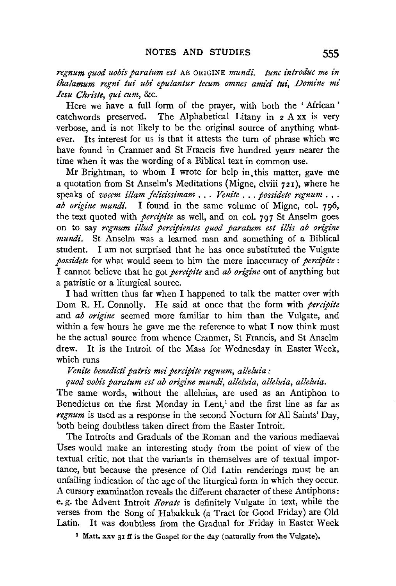regnum quod uobis paratum est AB ORIGINE mundi. tunc introduc me in *thalamum regnt" tui ubi epulantur tecum omnes amici tui, Domine mt' Iesu Christe, qui cum,* &c.

Here we have a full form of the prayer, with both the ' African ' catchwords preserved. The Alphabetical Litany in 2 A xx is very verbose, and is not likely to be the original source of anything whatever. Its interest for us is that it attests the turn of phrase which we have found in Cranmer and St Francis five hundred years nearer the time when it was the wording of a Biblical text in common use.

Mr Brightman, to whom I wrote for help in this matter, gave me a quotation from St Anselm's Meditations (Migne, clviii 721), where he speaks of *vocem illam felicissimam* ... *Venite* ... *possidete regnum* ... *ab origine mundi*. I found in the same volume of Migne, col. 796, I found in the same volume of Migne, col. 796, the text quoted with *percipite* as well, and on col. 797 St Anselm goes on to say *regnum illud percipientes quod paratum est illis ab ongine mundi.* St Anselm was a learned man and something of a Biblical student. I am not surprised that he has once substituted the Vulgate *possidete* for what would seem to him the mere inaccuracy of *percipite* : I cannot believe that he got *percipite* and *ab origine* out of anything but a patristic or a liturgical source.

I had written thus far when I happened to talk the matter over with Dom R. H. Connolly. He said at once that the form with *percipite* and *ab origine* seemed more familiar to him than the Vulgate, and within a few hours he gave me the reference to what I now think must be the actual source from whence Cranmer, St Francis, and St Anselm drew. It is the Introit of the Mass for Wednesday in Easter Week, which runs

*Venite benedicti patns mei percipite regnum, alleluia :* 

*quod vobis paratum est ab on"gine mundi, alleluia, alleluia, alleluia.* 

The same words, without the alleluias, are used as an Antiphon to Benedictus on the first Monday in Lent,<sup>1</sup> and the first line as far as *regnum* is used as a response in the second Nocturn for All Saints' Day, both being doubtless taken direct from the Easter Introit.

The Introits and Graduals of the Roman and the various mediaeval Uses would make an interesting study from the point of view of the textual critic, not that the variants in themselves are of textual importance, but because the presence of Old Latin renderings must be an unfailing indication of the age of the liturgical form in which they occur. A cursory examination reveals the different character of these Antiphons: e. g. the Advent Introit *Rorate* is definitely Vulgate in text, while the verses from the Song of Habakkuk (a Tract for Good Friday) are Old Latin. It was doubtless from the Gradual for Friday in Easter Week

<sup>1</sup> Matt. xxv 31 ff is the Gospel for the day (naturally from the Vulgate).